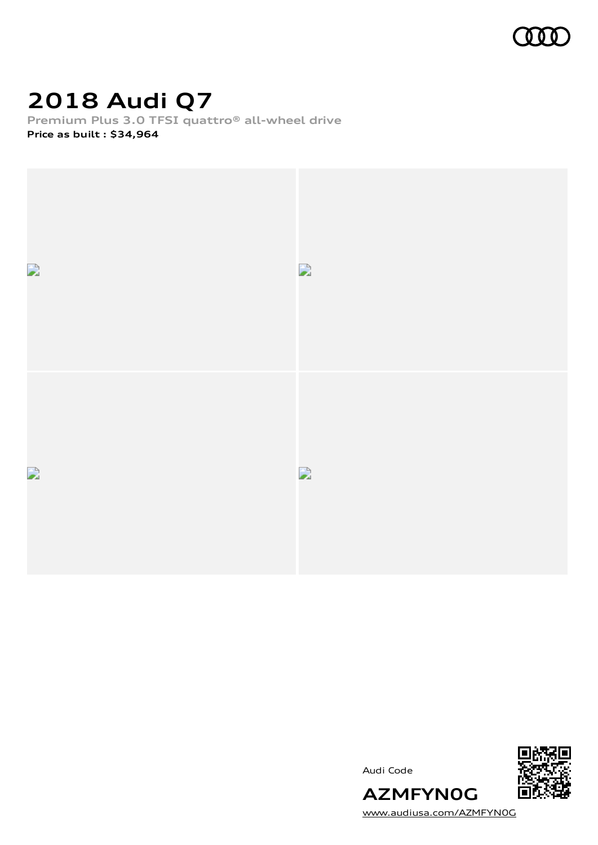

# **2018 Audi Q7**

**Premium Plus 3.0 TFSI quattro® all-wheel drive**

**Price as built [:](#page-10-0) \$34,964**



Audi Code



[www.audiusa.com/AZMFYN0G](https://www.audiusa.com/AZMFYN0G)

**AZMFYN0G**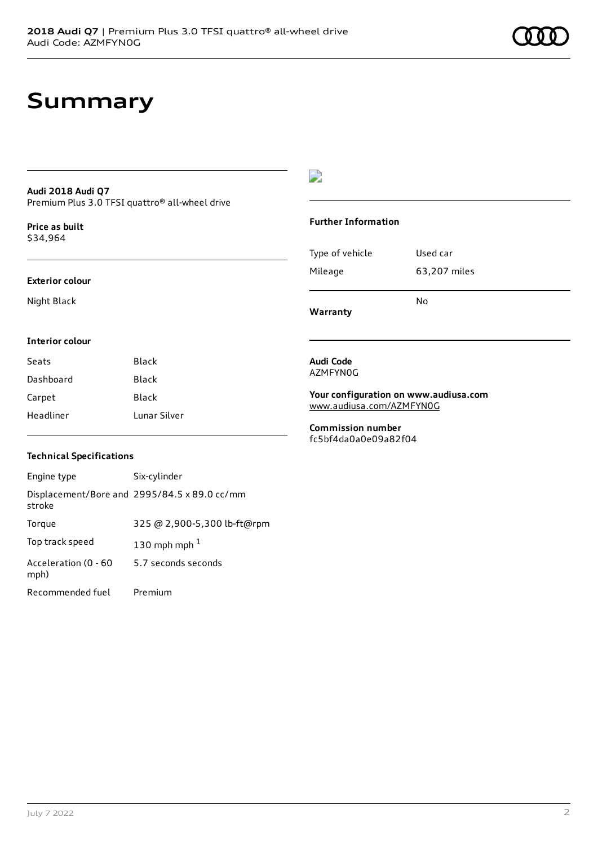# **Summary**

#### **Audi 2018 Audi Q7** Premium Plus 3.0 TFSI quattro® all-wheel drive

**Price as buil[t](#page-10-0)** \$34,964

#### **Exterior colour**

Night Black

#### $\overline{\phantom{a}}$

#### **Further Information**

| Warranty        |              |
|-----------------|--------------|
|                 | N٥           |
| Mileage         | 63,207 miles |
| Type of vehicle | Used car     |

#### **Interior colour**

| Seats     | Black        |
|-----------|--------------|
| Dashboard | Black        |
| Carpet    | Black        |
| Headliner | Lunar Silver |

#### **Audi Code** AZMFYN0G

**Your configuration on www.audiusa.com**

[www.audiusa.com/AZMFYN0G](https://www.audiusa.com/AZMFYN0G)

**Commission number** fc5bf4da0a0e09a82f04

#### **Technical Specifications**

| Engine type                  | Six-cylinder                                 |
|------------------------------|----------------------------------------------|
| stroke                       | Displacement/Bore and 2995/84.5 x 89.0 cc/mm |
| Torque                       | 325 @ 2,900-5,300 lb-ft@rpm                  |
| Top track speed              | 130 mph mph $1$                              |
| Acceleration (0 - 60<br>mph) | 5.7 seconds seconds                          |
| Recommended fuel             | Premium                                      |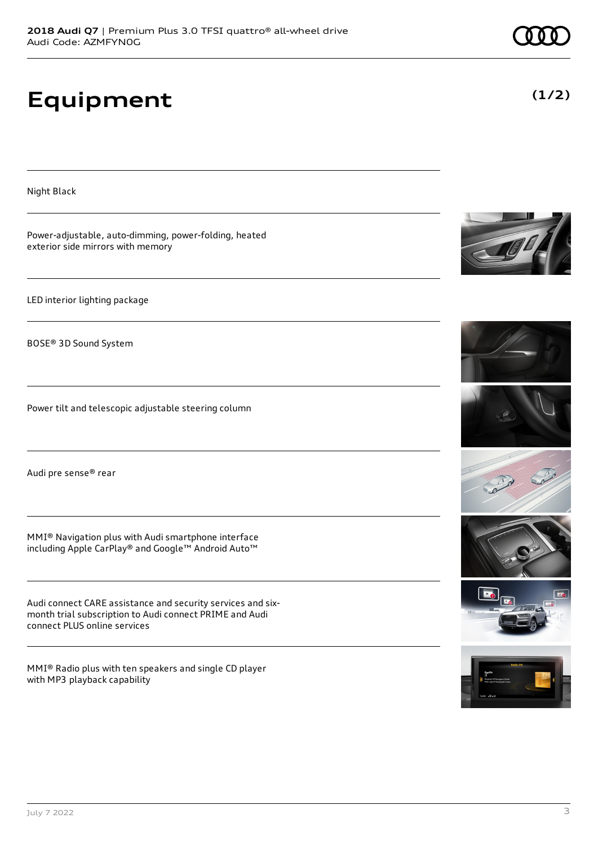# **Equipment**

exterior side mirrors with memory

LED interior lighting package

BOSE® 3D Sound System

Audi pre sense® rear

connect PLUS online services

with MP3 playback capability

Power-adjustable, auto-dimming, power-folding, heated

Power tilt and telescopic adjustable steering column

MMI® Navigation plus with Audi smartphone interface including Apple CarPlay® and Google™ Android Auto™

Audi connect CARE assistance and security services and sixmonth trial subscription to Audi connect PRIME and Audi

MMI® Radio plus with ten speakers and single CD player

Night Black













**(1/2)**

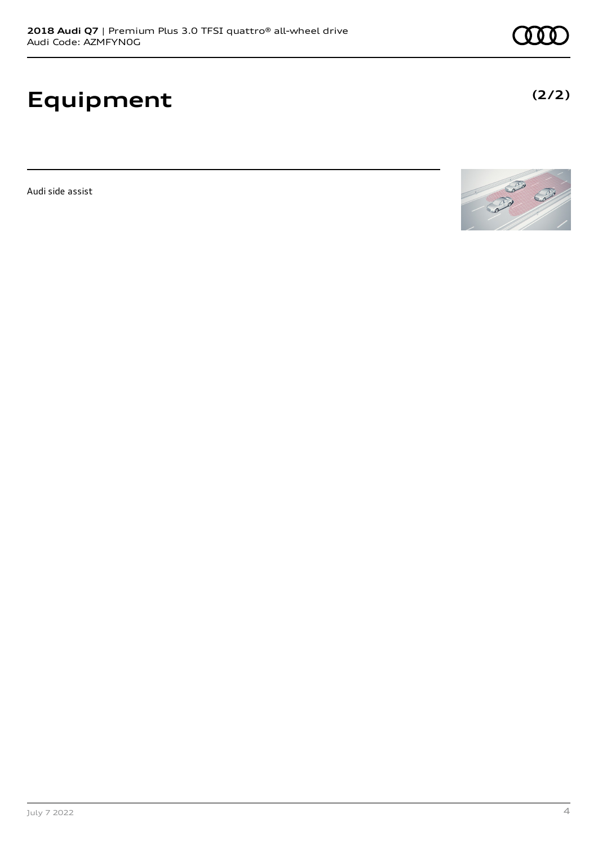# **Equipment**

Audi side assist

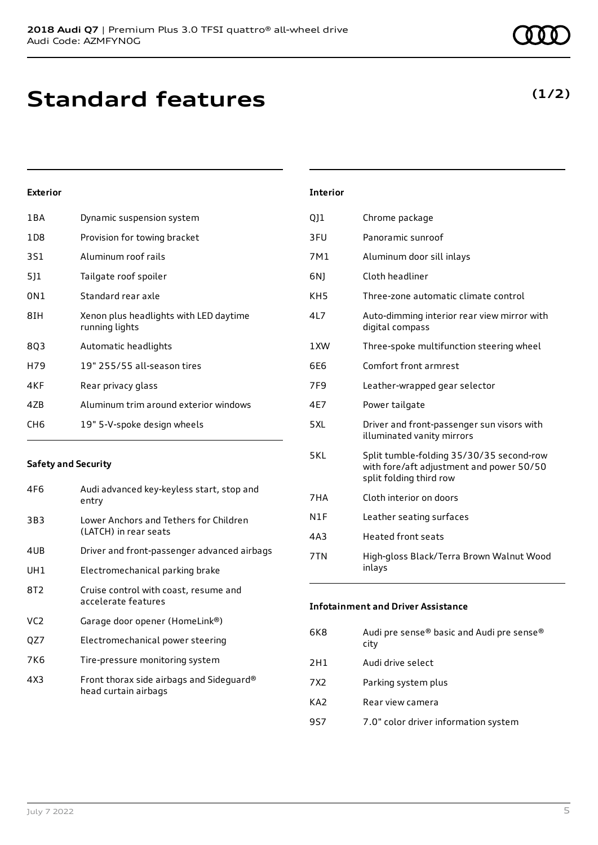# **Standard features**

#### 1BA Dynamic suspension system

**Exterior**

| 1 D 8 | Provision for towing bracket                             |
|-------|----------------------------------------------------------|
| 3S1   | Aluminum roof rails                                      |
| 511   | Tailgate roof spoiler                                    |
| 0N1   | Standard rear axle                                       |
| 8IH   | Xenon plus headlights with LED daytime<br>running lights |
| 8Q3   | Automatic headlights                                     |
| H79   | 19" 255/55 all-season tires                              |
| 4KF   | Rear privacy glass                                       |
| 4ZB   | Aluminum trim around exterior windows                    |
| CH6   | 19" 5-V-spoke design wheels                              |
|       |                                                          |

#### **Safety and Security**

| 4F6 | Audi advanced key-keyless start, stop and<br>entry               |
|-----|------------------------------------------------------------------|
| 3B3 | Lower Anchors and Tethers for Children<br>(LATCH) in rear seats  |
| 4UB | Driver and front-passenger advanced airbags                      |
| UH1 | Electromechanical parking brake                                  |
| 8T2 | Cruise control with coast, resume and<br>accelerate features     |
| VC2 | Garage door opener (HomeLink®)                                   |
| QZ7 | Electromechanical power steering                                 |
| 7K6 | Tire-pressure monitoring system                                  |
| 4X3 | Front thorax side airbags and Sideguard®<br>head curtain airbags |

| <b>Interior</b> |                                                                                                                 |
|-----------------|-----------------------------------------------------------------------------------------------------------------|
| QJ1             | Chrome package                                                                                                  |
| 3FU             | Panoramic sunroof                                                                                               |
| 7M1             | Aluminum door sill inlays                                                                                       |
| 6N)             | Cloth headliner                                                                                                 |
| KH <sub>5</sub> | Three-zone automatic climate control                                                                            |
| 4L7             | Auto-dimming interior rear view mirror with<br>digital compass                                                  |
| 1XW             | Three-spoke multifunction steering wheel                                                                        |
| 6F6             | Comfort front armrest                                                                                           |
| 7F <sub>9</sub> | Leather-wrapped gear selector                                                                                   |
| 4E7             | Power tailgate                                                                                                  |
| 5XL             | Driver and front-passenger sun visors with<br>illuminated vanity mirrors                                        |
| 5KL             | Split tumble-folding 35/30/35 second-row<br>with fore/aft adjustment and power 50/50<br>split folding third row |
| 7HA             | Cloth interior on doors                                                                                         |
| N1F             | Leather seating surfaces                                                                                        |
| 4A3             | <b>Heated front seats</b>                                                                                       |
| 7TN             | High-gloss Black/Terra Brown Walnut Wood<br>inlays                                                              |

#### **Infotainment and Driver Assistance**

| 6K8 | Audi pre sense® basic and Audi pre sense®<br>city |
|-----|---------------------------------------------------|
| 2H1 | Audi drive select                                 |
| 7X2 | Parking system plus                               |
| KA2 | Rear view camera                                  |
| 9S7 | 7.0" color driver information system              |

### **(1/2)**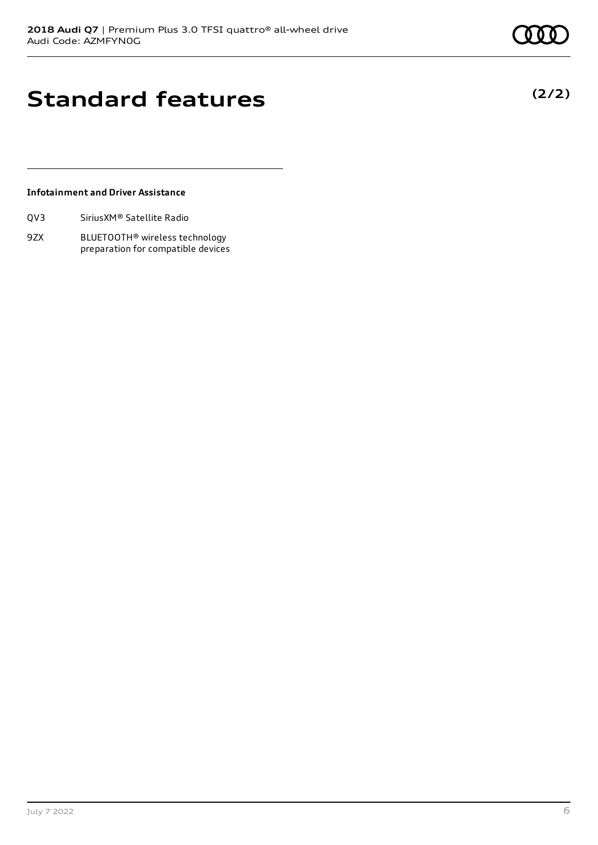## **Standard features**

#### **Infotainment and Driver Assistance**

| Sirius XM <sup>®</sup> Satellite Radio<br>QV3 |
|-----------------------------------------------|
|-----------------------------------------------|

9ZX BLUETOOTH® wireless technology preparation for compatible devices **(2/2)**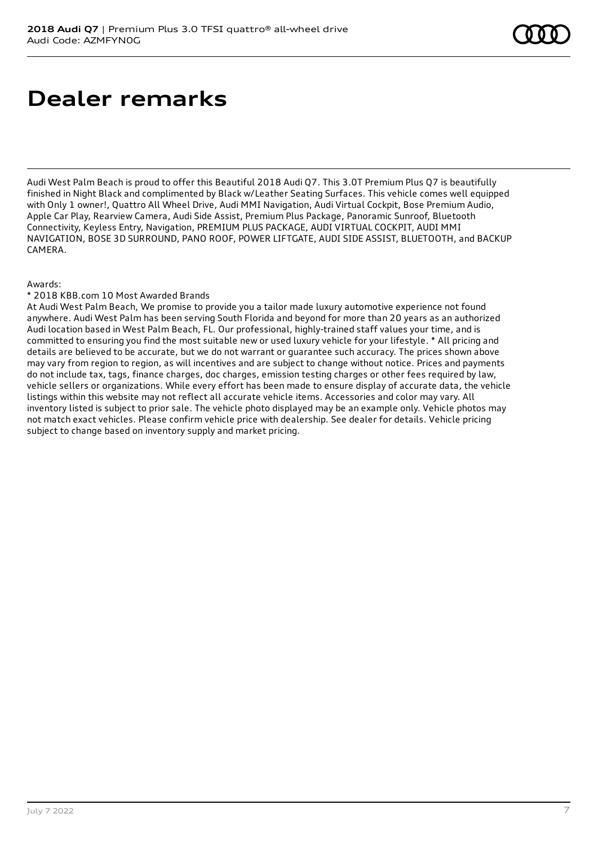## **Dealer remarks**

Audi West Palm Beach is proud to offer this Beautiful 2018 Audi Q7. This 3.0T Premium Plus Q7 is beautifully finished in Night Black and complimented by Black w/Leather Seating Surfaces. This vehicle comes well equipped with Only 1 owner!, Quattro All Wheel Drive, Audi MMI Navigation, Audi Virtual Cockpit, Bose Premium Audio, Apple Car Play, Rearview Camera, Audi Side Assist, Premium Plus Package, Panoramic Sunroof, Bluetooth Connectivity, Keyless Entry, Navigation, PREMIUM PLUS PACKAGE, AUDI VIRTUAL COCKPIT, AUDI MMI NAVIGATION, BOSE 3D SURROUND, PANO ROOF, POWER LIFTGATE, AUDI SIDE ASSIST, BLUETOOTH, and BACKUP CAMERA.

#### Awards:

#### \* 2018 KBB.com 10 Most Awarded Brands

At Audi West Palm Beach, We promise to provide you a tailor made luxury automotive experience not found anywhere. Audi West Palm has been serving South Florida and beyond for more than 20 years as an authorized Audi location based in West Palm Beach, FL. Our professional, highly-trained staff values your time, and is committed to ensuring you find the most suitable new or used luxury vehicle for your lifestyle. \* All pricing and details are believed to be accurate, but we do not warrant or guarantee such accuracy. The prices shown above may vary from region to region, as will incentives and are subject to change without notice. Prices and payments do not include tax, tags, finance charges, doc charges, emission testing charges or other fees required by law, vehicle sellers or organizations. While every effort has been made to ensure display of accurate data, the vehicle listings within this website may not reflect all accurate vehicle items. Accessories and color may vary. All inventory listed is subject to prior sale. The vehicle photo displayed may be an example only. Vehicle photos may not match exact vehicles. Please confirm vehicle price with dealership. See dealer for details. Vehicle pricing subject to change based on inventory supply and market pricing.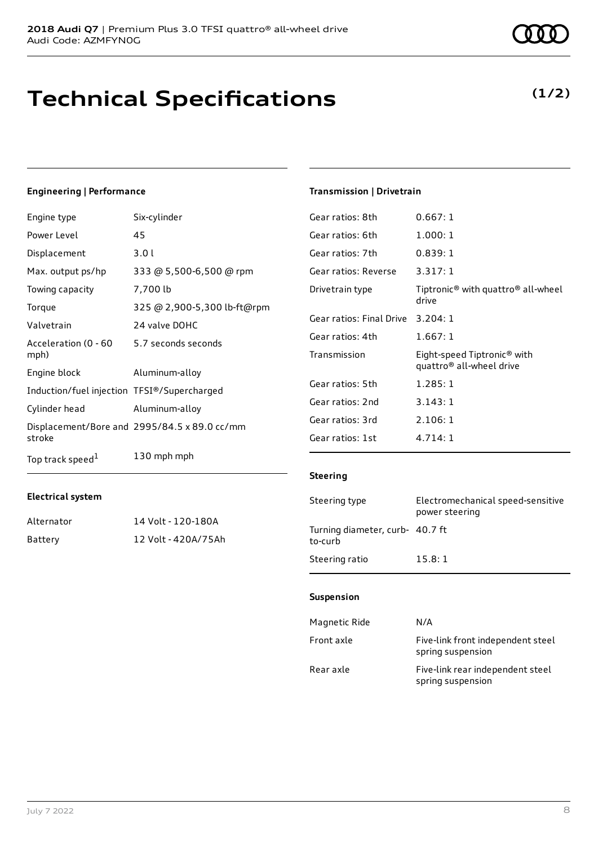## **Technical Specifications**

### **Engineering | Performance**

| Engine type                                 | Six-cylinder                                 |
|---------------------------------------------|----------------------------------------------|
| Power Level                                 | 45                                           |
| Displacement                                | 3.0l                                         |
| Max. output ps/hp                           | 333 @ 5,500-6,500 @ rpm                      |
| Towing capacity                             | 7,700 lb                                     |
| Torque                                      | 325 @ 2,900-5,300 lb-ft@rpm                  |
| Valvetrain                                  | 24 valve DOHC                                |
| Acceleration (0 - 60<br>mph)                | 5.7 seconds seconds                          |
| Engine block                                | Aluminum-alloy                               |
| Induction/fuel injection TFSI®/Supercharged |                                              |
| Cylinder head                               | Aluminum-alloy                               |
| stroke                                      | Displacement/Bore and 2995/84.5 x 89.0 cc/mm |
| Top track speed <sup>1</sup>                | 130 mph mph                                  |

Alternator 14 Volt - 120-180A Battery 12 Volt - 420A/75Ah

#### **Transmission | Drivetrain**

| Gear ratios: 8th         | 0.667:1                                                             |
|--------------------------|---------------------------------------------------------------------|
| Gear ratios: 6th         | 1.000:1                                                             |
| Gear ratios: 7th         | 0.839:1                                                             |
| Gear ratios: Reverse     | 3.317:1                                                             |
| Drivetrain type          | Tiptronic® with quattro® all-wheel<br>drive                         |
| Gear ratios: Final Drive | 3.204:1                                                             |
| Gear ratios: 4th         | 1.667:1                                                             |
| Transmission             | Eight-speed Tiptronic® with<br>quattro <sup>®</sup> all-wheel drive |
| Gear ratios: 5th         | 1.285:1                                                             |
| Gear ratios: 2nd         | 3.143:1                                                             |
| Gear ratios: 3rd         | 2.106:1                                                             |
| Gear ratios: 1st         | 4.714:1                                                             |
|                          |                                                                     |

#### **Steering**

| Steering type                              | Electromechanical speed-sensitive<br>power steering |
|--------------------------------------------|-----------------------------------------------------|
| Turning diameter, curb- 40.7 ft<br>to-curb |                                                     |
| Steering ratio                             | 15.8:1                                              |

#### **Suspension**

| Magnetic Ride | N/A                                                    |
|---------------|--------------------------------------------------------|
| Front axle    | Five-link front independent steel<br>spring suspension |
| Rear axle     | Five-link rear independent steel<br>spring suspension  |

**Electrical system**

**(1/2)**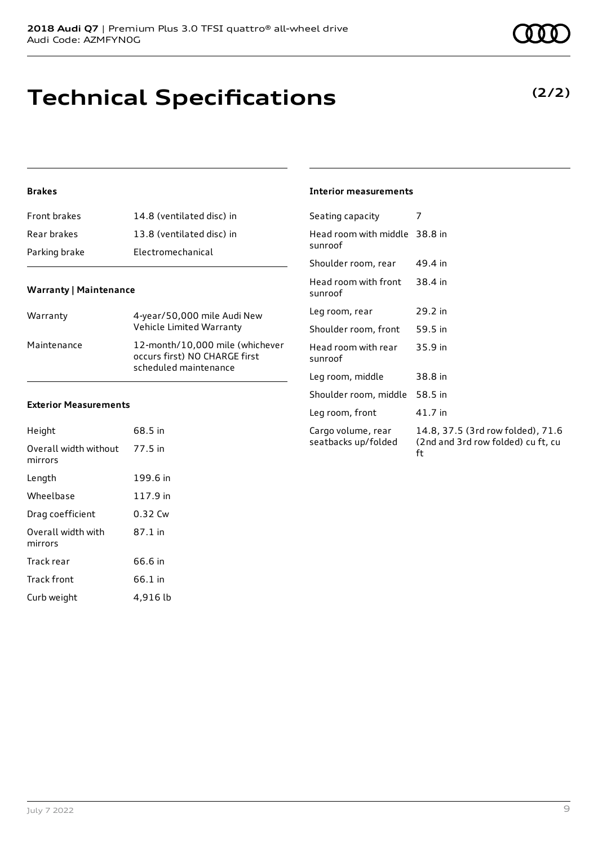# **Technical Specifications**

#### **Brakes**

| Front brakes  | 14.8 (ventilated disc) in |
|---------------|---------------------------|
| Rear brakes   | 13.8 (ventilated disc) in |
| Parking brake | Electromechanical         |

#### **Warranty | Maintenance**

| Warranty    | 4-year/50,000 mile Audi New<br>Vehicle Limited Warranty                                   |
|-------------|-------------------------------------------------------------------------------------------|
| Maintenance | 12-month/10,000 mile (whichever<br>occurs first) NO CHARGE first<br>scheduled maintenance |

#### **Exterior Measurements**

| Height                           | 68.5 in  |
|----------------------------------|----------|
| Overall width without<br>mirrors | 77.5 in  |
| Length                           | 199.6 in |
| Wheelbase                        | 117.9 in |
| Drag coefficient                 | 0.32 Cw  |
| Overall width with<br>mirrors    | 87.1 in  |
| Track rear                       | 66.6 in  |
| <b>Track front</b>               | 66.1 in  |
| Curb weight                      | 4,916 lb |

| <b>Interior measurements</b> |
|------------------------------|
|                              |

| Seating capacity                          | 7                                                                             |
|-------------------------------------------|-------------------------------------------------------------------------------|
| Head room with middle 38.8 in<br>sunroof  |                                                                               |
| Shoulder room, rear                       | 49.4 in                                                                       |
| Head room with front<br>sunroof           | 38.4 in                                                                       |
| Leg room, rear                            | 29.2 in                                                                       |
| Shoulder room, front                      | 59.5 in                                                                       |
| Head room with rear<br>sunroof            | 35.9 in                                                                       |
| Leg room, middle                          | 38.8 in                                                                       |
| Shoulder room, middle                     | 58.5 in                                                                       |
| Leg room, front                           | 41.7 in                                                                       |
| Cargo volume, rear<br>seatbacks up/folded | 14.8, 37.5 (3rd row folded), 71.6<br>(2nd and 3rd row folded) cu ft, cu<br>ft |

### **(2/2)**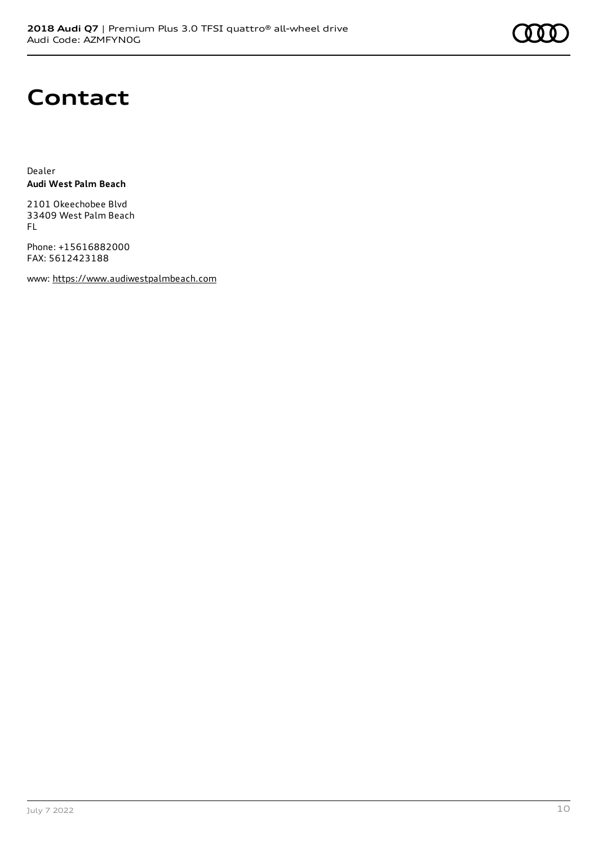# **Contact**

Dealer **Audi West Palm Beach**

2101 Okeechobee Blvd 33409 West Palm Beach FL

Phone: +15616882000 FAX: 5612423188

www: [https://www.audiwestpalmbeach.com](https://www.audiwestpalmbeach.com/)